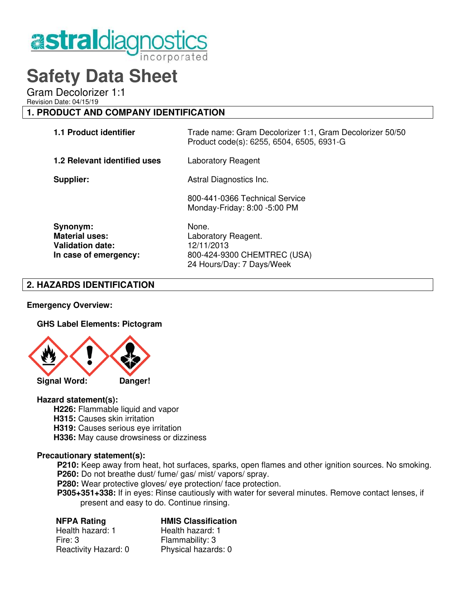

# **Safety Data Sheet**

Gram Decolorizer 1:1

Revision Date: 04/15/19

# **1. PRODUCT AND COMPANY IDENTIFICATION**

| 1.1 Product identifier                                                                | Trade name: Gram Decolorizer 1:1, Gram Decolorizer 50/50<br>Product code(s): 6255, 6504, 6505, 6931-G |
|---------------------------------------------------------------------------------------|-------------------------------------------------------------------------------------------------------|
| 1.2 Relevant identified uses                                                          | Laboratory Reagent                                                                                    |
| Supplier:                                                                             | Astral Diagnostics Inc.                                                                               |
|                                                                                       | 800-441-0366 Technical Service<br>Monday-Friday: 8:00 -5:00 PM                                        |
| Synonym:<br><b>Material uses:</b><br><b>Validation date:</b><br>In case of emergency: | None.<br>Laboratory Reagent.<br>12/11/2013<br>800-424-9300 CHEMTREC (USA)                             |

24 Hours/Day: 7 Days/Week

# **2. HAZARDS IDENTIFICATION**

# **Emergency Overview:**

# **GHS Label Elements: Pictogram**



#### **Hazard statement(s):**

- **H226:** Flammable liquid and vapor
- **H315: Causes skin irritation**
- **H319:** Causes serious eye irritation
- **H336:** May cause drowsiness or dizziness

#### **Precautionary statement(s):**

 **P210:** Keep away from heat, hot surfaces, sparks, open flames and other ignition sources. No smoking. **P260:** Do not breathe dust/ fume/ gas/ mist/ vapors/ spray.

**P280:** Wear protective gloves/ eye protection/ face protection.

 **P305+351+338:** If in eyes: Rinse cautiously with water for several minutes. Remove contact lenses, if present and easy to do. Continue rinsing.

# **NFPA Rating HMIS Classification**

Health hazard: 1 Health hazard: 1 Fire: 3 Flammability: 3 Reactivity Hazard: 0 Physical hazards: 0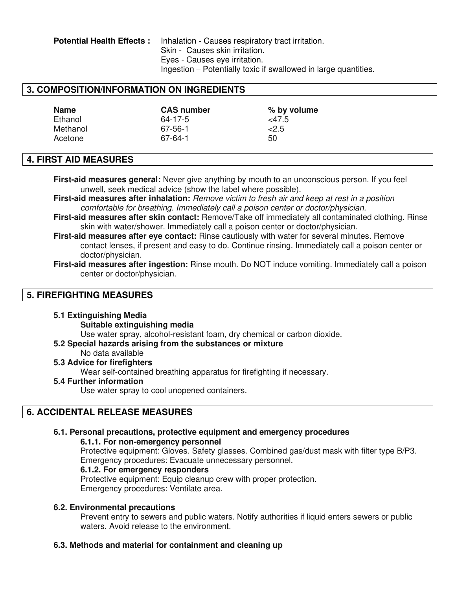**Potential Health Effects :** Inhalation - Causes respiratory tract irritation. Skin - Causes skin irritation. Eyes - Causes eye irritation. Ingestion – Potentially toxic if swallowed in large quantities.

# **3. COMPOSITION/INFORMATION ON INGREDIENTS**

| <b>Name</b> | <b>CAS number</b> | % by volume |
|-------------|-------------------|-------------|
| Ethanol     | 64-17-5           | <47.5       |
| Methanol    | 67-56-1           | 2.5         |
| Acetone     | $67-64-1$         | 50          |

# **4. FIRST AID MEASURES**

**First-aid measures general:** Never give anything by mouth to an unconscious person. If you feel unwell, seek medical advice (show the label where possible).

**First-aid measures after inhalation:** Remove victim to fresh air and keep at rest in a position comfortable for breathing. Immediately call a poison center or doctor/physician.

- **First-aid measures after skin contact:** Remove/Take off immediately all contaminated clothing. Rinse skin with water/shower. Immediately call a poison center or doctor/physician.
- **First-aid measures after eye contact:** Rinse cautiously with water for several minutes. Remove contact lenses, if present and easy to do. Continue rinsing. Immediately call a poison center or doctor/physician.
- **First-aid measures after ingestion:** Rinse mouth. Do NOT induce vomiting. Immediately call a poison center or doctor/physician.

# **5. FIREFIGHTING MEASURES**

#### **5.1 Extinguishing Media**

#### **Suitable extinguishing media**

Use water spray, alcohol-resistant foam, dry chemical or carbon dioxide.

- **5.2 Special hazards arising from the substances or mixture**
	- No data available

# **5.3 Advice for firefighters**

Wear self-contained breathing apparatus for firefighting if necessary.

#### **5.4 Further information**

Use water spray to cool unopened containers.

# **6. ACCIDENTAL RELEASE MEASURES**

# **6.1. Personal precautions, protective equipment and emergency procedures**

#### **6.1.1. For non-emergency personnel**

 Protective equipment: Gloves. Safety glasses. Combined gas/dust mask with filter type B/P3. Emergency procedures: Evacuate unnecessary personnel.

#### **6.1.2. For emergency responders**

Protective equipment: Equip cleanup crew with proper protection. Emergency procedures: Ventilate area.

#### **6.2. Environmental precautions**

Prevent entry to sewers and public waters. Notify authorities if liquid enters sewers or public waters. Avoid release to the environment.

# **6.3. Methods and material for containment and cleaning up**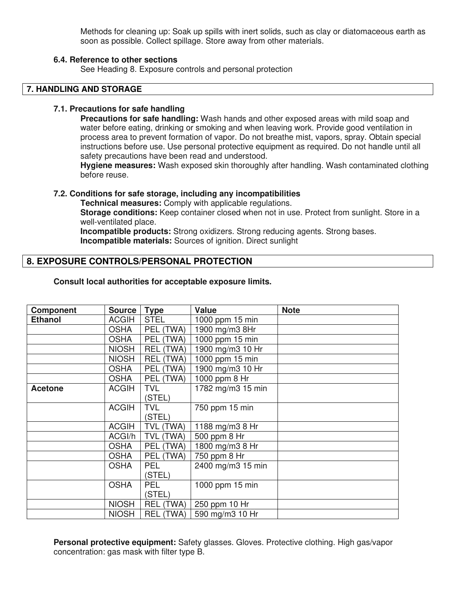Methods for cleaning up: Soak up spills with inert solids, such as clay or diatomaceous earth as soon as possible. Collect spillage. Store away from other materials.

### **6.4. Reference to other sections**

See Heading 8. Exposure controls and personal protection

#### **7. HANDLING AND STORAGE**

#### **7.1. Precautions for safe handling**

**Precautions for safe handling:** Wash hands and other exposed areas with mild soap and water before eating, drinking or smoking and when leaving work. Provide good ventilation in process area to prevent formation of vapor. Do not breathe mist, vapors, spray. Obtain special instructions before use. Use personal protective equipment as required. Do not handle until all safety precautions have been read and understood.

**Hygiene measures:** Wash exposed skin thoroughly after handling. Wash contaminated clothing before reuse.

#### **7.2. Conditions for safe storage, including any incompatibilities**

 **Technical measures:** Comply with applicable regulations.

**Storage conditions:** Keep container closed when not in use. Protect from sunlight. Store in a well-ventilated place.

 **Incompatible products:** Strong oxidizers. Strong reducing agents. Strong bases.  **Incompatible materials:** Sources of ignition. Direct sunlight

# **8. EXPOSURE CONTROLS/PERSONAL PROTECTION**

| <b>Component</b> | <b>Source</b> | <b>Type</b>      | <b>Value</b>      | <b>Note</b> |
|------------------|---------------|------------------|-------------------|-------------|
| <b>Ethanol</b>   | <b>ACGIH</b>  | <b>STEL</b>      | 1000 ppm 15 min   |             |
|                  | <b>OSHA</b>   | PEL (TWA)        | 1900 mg/m3 8Hr    |             |
|                  | <b>OSHA</b>   | PEL (TWA)        | 1000 ppm 15 min   |             |
|                  | <b>NIOSH</b>  | <b>REL (TWA)</b> | 1900 mg/m3 10 Hr  |             |
|                  | <b>NIOSH</b>  | <b>REL (TWA)</b> | 1000 ppm 15 min   |             |
|                  | <b>OSHA</b>   | PEL (TWA)        | 1900 mg/m3 10 Hr  |             |
|                  | <b>OSHA</b>   | PEL (TWA)        | 1000 ppm 8 Hr     |             |
| <b>Acetone</b>   | <b>ACGIH</b>  | <b>TVL</b>       | 1782 mg/m3 15 min |             |
|                  |               | (STEL)           |                   |             |
|                  | <b>ACGIH</b>  | <b>TVL</b>       | 750 ppm 15 min    |             |
|                  |               | (STEL)           |                   |             |
|                  | <b>ACGIH</b>  | TVL (TWA)        | 1188 mg/m3 8 Hr   |             |
|                  | ACGI/h        | TVL (TWA)        | 500 ppm 8 Hr      |             |
|                  | <b>OSHA</b>   | PEL (TWA)        | 1800 mg/m3 8 Hr   |             |
|                  | <b>OSHA</b>   | PEL (TWA)        | 750 ppm 8 Hr      |             |
|                  | <b>OSHA</b>   | <b>PEL</b>       | 2400 mg/m3 15 min |             |
|                  |               | (STEL)           |                   |             |
|                  | <b>OSHA</b>   | <b>PEL</b>       | 1000 ppm 15 min   |             |
|                  |               | (STEL)           |                   |             |
|                  | <b>NIOSH</b>  | REL (TWA)        | 250 ppm 10 Hr     |             |
|                  | <b>NIOSH</b>  | REL (TWA)        | 590 mg/m3 10 Hr   |             |

**Personal protective equipment:** Safety glasses. Gloves. Protective clothing. High gas/vapor concentration: gas mask with filter type B.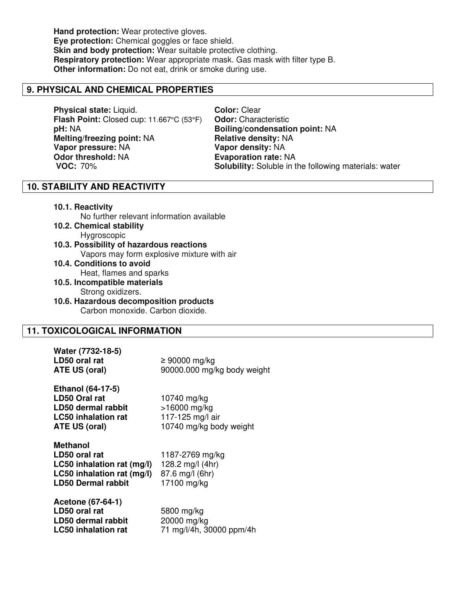**Hand protection:** Wear protective gloves. **Eye protection:** Chemical goggles or face shield. **Skin and body protection:** Wear suitable protective clothing. **Respiratory protection:** Wear appropriate mask. Gas mask with filter type B. **Other information:** Do not eat, drink or smoke during use.

# **9. PHYSICAL AND CHEMICAL PROPERTIES**

**Physical state:** Liquid. **Color:** Clear<br> **Flash Point:** Closed cup: 11.667°C (53°F) **Odor:** Characteristic **Flash Point:** Closed cup: 11.667°C (53°F) **pH:** NA **Boiling/condensation point:** NA **Melting/freezing point:** NA **Relative density:** NA **Vapor pressure:** NA **Vapor density:** NA **Odor threshold: NA <b>Evaporation rate: NA** 

**VOC:** 70% **Solubility:** Soluble in the following materials: water

# **10. STABILITY AND REACTIVITY**

**10.1. Reactivity**

| No further relevant information available  |
|--------------------------------------------|
| 10.2. Chemical stability                   |
| Hygroscopic                                |
| 10.3. Possibility of hazardous reactions   |
| Vapors may form explosive mixture with air |
| 10.4. Conditions to avoid                  |
| Heat, flames and sparks                    |
| 10.5. Incompatible materials               |
| Strong oxidizers.                          |
| 10.6. Hazardous decomposition products     |
| Carbon monoxide. Carbon dioxide.           |
|                                            |

# **11. TOXICOLOGICAL INFORMATION**

| Water (7732-18-5)<br>LD50 oral rat<br>ATE US (oral)                                                                   | $\geq 90000$ mg/kg<br>90000.000 mg/kg body weight                          |
|-----------------------------------------------------------------------------------------------------------------------|----------------------------------------------------------------------------|
| <b>Ethanol (64-17-5)</b><br><b>LD50 Oral rat</b><br>LD50 dermal rabbit<br><b>LC50</b> inhalation rat<br>ATE US (oral) | 10740 mg/kg<br>>16000 mg/kg<br>117-125 mg/l air<br>10740 mg/kg body weight |
| Methanol<br>LD50 oral rat<br>LC50 inhalation rat (mg/l)<br>LC50 inhalation rat (mg/l)<br><b>LD50 Dermal rabbit</b>    | 1187-2769 mg/kg<br>128.2 mg/l (4hr)<br>87.6 mg/l (6hr)<br>17100 mg/kg      |
| Acetone (67-64-1)<br>LD50 oral rat<br>LD50 dermal rabbit<br><b>LC50 inhalation rat</b>                                | 5800 mg/kg<br>20000 mg/kg<br>71 mg/l/4h, 30000 ppm/4h                      |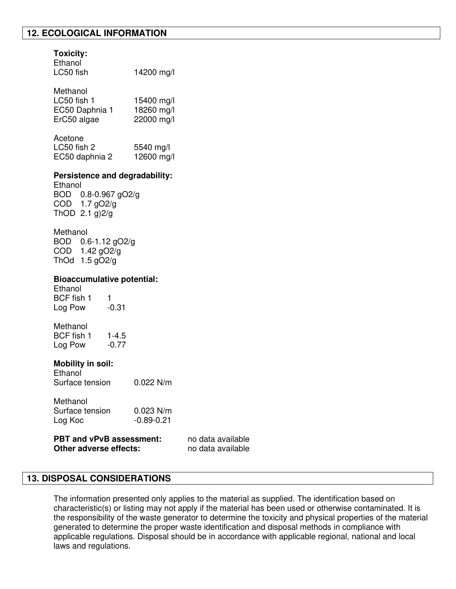# **12. ECOLOGICAL INFORMATION**

# **Toxicity:**

| Ethanol   |            |
|-----------|------------|
| LC50 fish | 14200 mg/l |

| Methanol       |            |
|----------------|------------|
| LC50 fish 1    | 15400 mg/l |
| EC50 Daphnia 1 | 18260 mg/l |
| ErC50 algae    | 22000 mg/l |

Acetone

LC50 fish 2 5540 mg/l EC50 daphnia 2 12600 mg/l

### **Persistence and degradability:**

Ethanol BOD 0.8-0.967 gO2/g COD 1.7 gO2/g ThOD  $2.1$  g) $2/g$ 

Methanol BOD 0.6-1.12 gO2/g COD 1.42 gO2/g ThOd 1.5 gO2/g

### **Bioaccumulative potential:**

Ethanol BCF fish 1 1<br>Log Pow -0.31 Log Pow

Methanol BCF fish 1 1-4.5 Log Pow -0.77

# **Mobility in soil:**

Ethanol Surface tension 0.022 N/m

| Methanol        |                |
|-----------------|----------------|
| Surface tension | $0.023$ N/m    |
| Log Koc         | $-0.89 - 0.21$ |

| <b>PBT and vPvB assessment:</b> | no data |
|---------------------------------|---------|
| Other adverse effects:          | no data |

# **13. DISPOSAL CONSIDERATIONS**

The information presented only applies to the material as supplied. The identification based on characteristic(s) or listing may not apply if the material has been used or otherwise contaminated. It is the responsibility of the waste generator to determine the toxicity and physical properties of the material generated to determine the proper waste identification and disposal methods in compliance with applicable regulations. Disposal should be in accordance with applicable regional, national and local laws and regulations.

available available